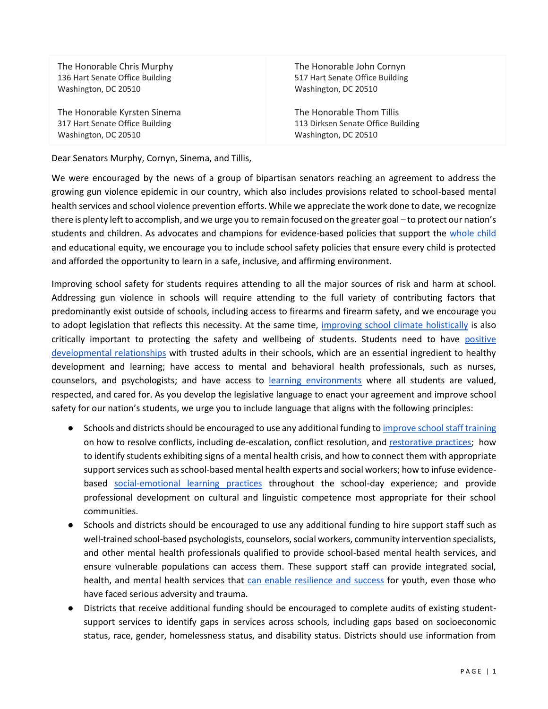The Honorable Chris Murphy 136 Hart Senate Office Building Washington, DC 20510

The Honorable Kyrsten Sinema 317 Hart Senate Office Building Washington, DC 20510

The Honorable John Cornyn 517 Hart Senate Office Building Washington, DC 20510

The Honorable Thom Tillis 113 Dirksen Senate Office Building Washington, DC 20510

Dear Senators Murphy, Cornyn, Sinema, and Tillis,

We were encouraged by the news of a group of bipartisan senators reaching an agreement to address the growing gun violence epidemic in our country, which also includes provisions related to school-based mental health services and school violence prevention efforts. While we appreciate the work done to date, we recognize there is plenty left to accomplish, and we urge you to remain focused on the greater goal – to protect our nation's students and children. As advocates and champions for evidence-based policies that support the [whole child](https://learningpolicyinstitute.org/product/educating-whole-child-report) and educational equity, we encourage you to include school safety policies that ensure every child is protected and afforded the opportunity to learn in a safe, inclusive, and affirming environment.

Improving school safety for students requires attending to all the major sources of risk and harm at school. Addressing gun violence in schools will require attending to the full variety of contributing factors that predominantly exist outside of schools, including access to firearms and firearm safety, and we encourage you to adopt legislation that reflects this necessity. At the same time, [improving school climate holistically](https://learningpolicyinstitute.org/product/educating-whole-child-brief) is also critically important to protecting the safety and wellbeing of students. Students need to have [positive](https://k12.designprinciples.org/positive-developmental-relationships) [developmental relationships](https://k12.designprinciples.org/positive-developmental-relationships) with trusted adults in their schools, which are an essential ingredient to healthy development and learning; have access to mental and behavioral health professionals, such as nurses, counselors, and psychologists; and have access to [learning environments](https://k12.designprinciples.org/environments-filled-with-safety-and-belonging) where all students are valued, respected, and cared for. As you develop the legislative language to enact your agreement and improve school safety for our nation's students, we urge you to include language that aligns with the following principles:

- Schools and districts should be encouraged to use any additional funding to *improve [school staff training](https://learningpolicyinstitute.org/product/wce-positive-school-climate-restorative-practices-brief)* on how to resolve conflicts, including de-escalation, conflict resolution, and [restorative practices;](https://learningpolicyinstitute.org/product/wce-positive-school-climate-restorative-practices-brief) how to identify students exhibiting signs of a mental health crisis, and how to connect them with appropriate support services such as school-based mental health experts and social workers; how to infuse evidencebased [social-emotional learning practices](https://restart-reinvent.learningpolicyinstitute.org/ensure-supports-social-and-emotional-learning) throughout the school-day experience; and provide professional development on cultural and linguistic competence most appropriate for their school communities.
- Schools and districts should be encouraged to use any additional funding to hire support staff such as well-trained school-based psychologists, counselors, social workers, community intervention specialists, and other mental health professionals qualified to provide school-based mental health services, and ensure vulnerable populations can access them. These support staff can provide integrated social, health, and mental health services that [can enable resilience and success](https://soldalliance.org/wp-content/uploads/2021/11/Science-Learning-Development-Alliance.pdf) for youth, even those who have faced serious adversity and trauma.
- Districts that receive additional funding should be encouraged to complete audits of existing studentsupport services to identify gaps in services across schools, including gaps based on socioeconomic status, race, gender, homelessness status, and disability status. Districts should use information from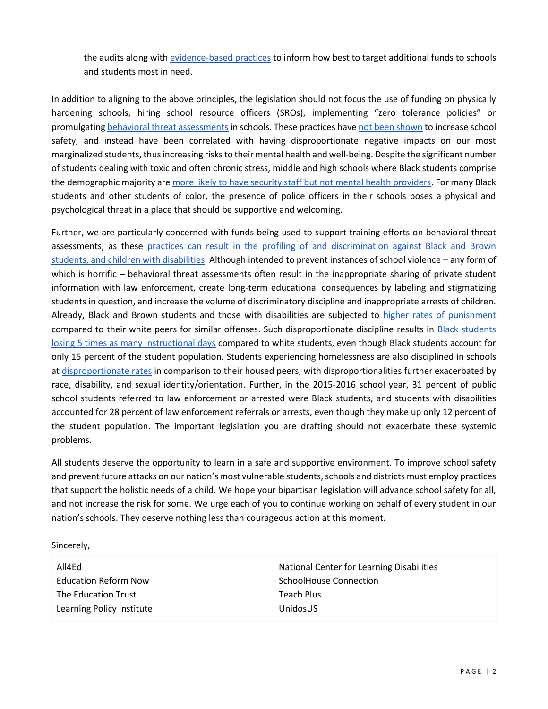the audits along with [evidence-based practices](https://k12.designprinciples.org/integrated-support-systems) to inform how best to target additional funds to schools and students most in need.

In addition to aligning to the above principles, the legislation should not focus the use of funding on physically hardening schools, hiring school resource officers (SROs), implementing "zero tolerance policies" or promulgating [behavioral threat assessments](https://www.newamerica.org/education-policy/briefs/threat-assessment-systems-as-a-school-discipline-safety-strategy/) in schools. These practices hav[e not been shown](https://learningpolicyinstitute.org/product/student-civil-rights-school-discipline-report) to increase school safety, and instead have been correlated with having disproportionate negative impacts on our most marginalized students, thus increasing risks to their mental health and well-being. Despite the significant number of students dealing with toxic and often chronic stress, middle and high schools where Black students comprise the demographic majority ar[e more likely to have security staff but not mental health providers.](https://www.childtrends.org/blog/compared-to-majority-white-schools-majority-black-schools-are-more-likely-to-have-security-staff) For many Black students and other students of color, the presence of police officers in their schools poses a physical and psychological threat in a place that should be supportive and welcoming.

Further, we are particularly concerned with funds being used to support training efforts on behavioral threat assessments, as these practices can result in the profiling of and discrimination against Black and Brown [students, and children with disabilities.](https://www.ndrn.org/wp-content/uploads/2022/02/K-12-Threat-Assessment-Processes-Civil-Rights-Impacts-1.pdf) Although intended to prevent instances of school violence – any form of which is horrific – behavioral threat assessments often result in the inappropriate sharing of private student information with law enforcement, create long-term educational consequences by labeling and stigmatizing students in question, and increase the volume of discriminatory discipline and inappropriate arrests of children. Already, Black and Brown students and those with disabilities are subjected to [higher rates of punishment](https://learningpolicyinstitute.org/product/student-civil-rights-school-discipline-report) compared to their white peers for similar offenses. Such disproportionate discipline results in Black students [losing 5 times as many instructional days](https://www.aclu.org/sites/default/files/field_document/final_11-million-days_ucla_aclu.pdf) compared to white students, even though Black students account for only 15 percent of the student population. Students experiencing homelessness are also disciplined in schools at [disproportionate rates](https://schoolhouseconnection.org/positive-school-discipline-practices-for-students-experiencing-homelessness/) in comparison to their housed peers, with disproportionalities further exacerbated by race, disability, and sexual identity/orientation. Further, in the 2015-2016 school year, 31 percent of public school students referred to law enforcement or arrested were Black students, and students with disabilities accounted for 28 percent of law enforcement referrals or arrests, even though they make up only 12 percent of the student population. The important legislation you are drafting should not exacerbate these systemic problems.

All students deserve the opportunity to learn in a safe and supportive environment. To improve school safety and prevent future attacks on our nation's most vulnerable students, schools and districts must employ practices that support the holistic needs of a child. We hope your bipartisan legislation will advance school safety for all, and not increase the risk for some. We urge each of you to continue working on behalf of every student in our nation's schools. They deserve nothing less than courageous action at this moment.

Sincerely,

| All4Ed                      | National Center for Learning Disabilities |
|-----------------------------|-------------------------------------------|
| <b>Education Reform Now</b> | SchoolHouse Connection                    |
| The Education Trust         | Teach Plus                                |
| Learning Policy Institute   | UnidosUS                                  |